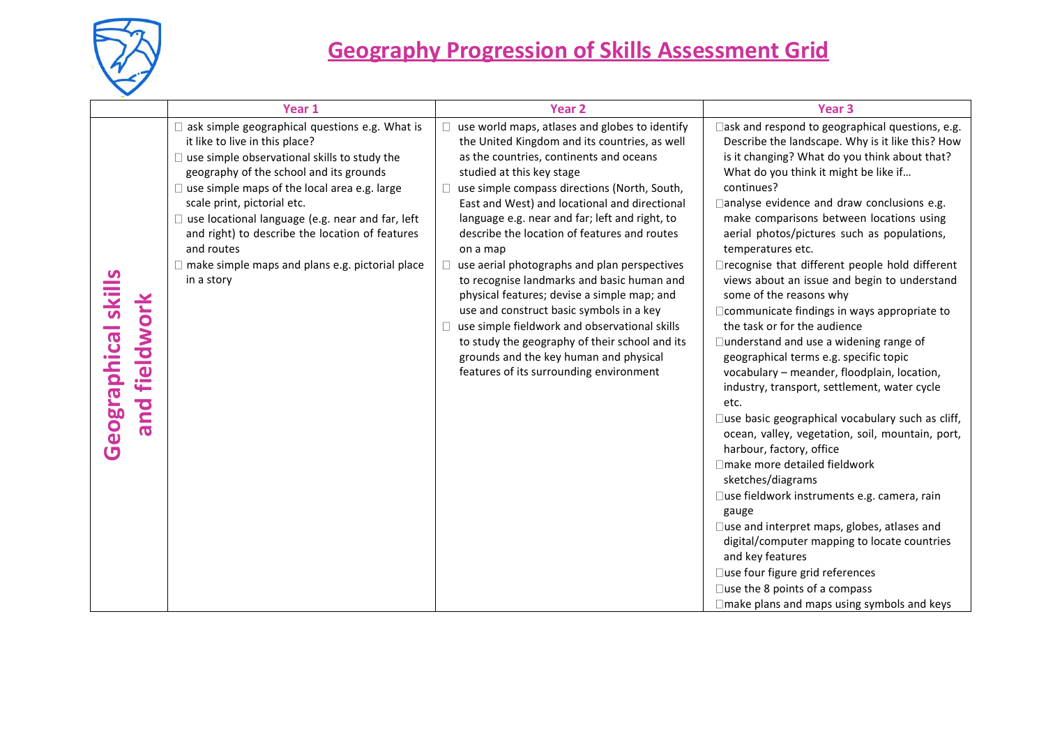

|                                         | Year 1                                                                                                                                                                                                                                                                                                                                                                                                                                                                              | <b>Year 2</b>                                                                                                                                                                                                                                                                                                                                                                                                                                                                                                                                                                                                                                                                                                                                                           | Year <sub>3</sub>                                                                                                                                                                                                                                                                                                                                                                                                                                                                                                                                                                                                                                                                                                                                                                                                                                                                                                                                                                                                                                                                                                                                                                                                                                                                                                 |
|-----------------------------------------|-------------------------------------------------------------------------------------------------------------------------------------------------------------------------------------------------------------------------------------------------------------------------------------------------------------------------------------------------------------------------------------------------------------------------------------------------------------------------------------|-------------------------------------------------------------------------------------------------------------------------------------------------------------------------------------------------------------------------------------------------------------------------------------------------------------------------------------------------------------------------------------------------------------------------------------------------------------------------------------------------------------------------------------------------------------------------------------------------------------------------------------------------------------------------------------------------------------------------------------------------------------------------|-------------------------------------------------------------------------------------------------------------------------------------------------------------------------------------------------------------------------------------------------------------------------------------------------------------------------------------------------------------------------------------------------------------------------------------------------------------------------------------------------------------------------------------------------------------------------------------------------------------------------------------------------------------------------------------------------------------------------------------------------------------------------------------------------------------------------------------------------------------------------------------------------------------------------------------------------------------------------------------------------------------------------------------------------------------------------------------------------------------------------------------------------------------------------------------------------------------------------------------------------------------------------------------------------------------------|
| Geographical skills<br>fieldwork<br>and | $\Box$ ask simple geographical questions e.g. What is<br>it like to live in this place?<br>$\Box$ use simple observational skills to study the<br>geography of the school and its grounds<br>$\Box$ use simple maps of the local area e.g. large<br>scale print, pictorial etc.<br>$\Box$ use locational language (e.g. near and far, left<br>and right) to describe the location of features<br>and routes<br>$\Box$ make simple maps and plans e.g. pictorial place<br>in a story | use world maps, atlases and globes to identify<br>the United Kingdom and its countries, as well<br>as the countries, continents and oceans<br>studied at this key stage<br>use simple compass directions (North, South,<br>East and West) and locational and directional<br>language e.g. near and far; left and right, to<br>describe the location of features and routes<br>on a map<br>use aerial photographs and plan perspectives<br>to recognise landmarks and basic human and<br>physical features; devise a simple map; and<br>use and construct basic symbols in a key<br>use simple fieldwork and observational skills<br>to study the geography of their school and its<br>grounds and the key human and physical<br>features of its surrounding environment | $\Box$ ask and respond to geographical questions, e.g.<br>Describe the landscape. Why is it like this? How<br>is it changing? What do you think about that?<br>What do you think it might be like if<br>continues?<br>analyse evidence and draw conclusions e.g.<br>make comparisons between locations using<br>aerial photos/pictures such as populations,<br>temperatures etc.<br>□recognise that different people hold different<br>views about an issue and begin to understand<br>some of the reasons why<br>□ communicate findings in ways appropriate to<br>the task or for the audience<br>□ understand and use a widening range of<br>geographical terms e.g. specific topic<br>vocabulary - meander, floodplain, location,<br>industry, transport, settlement, water cycle<br>etc.<br>$\square$ use basic geographical vocabulary such as cliff,<br>ocean, valley, vegetation, soil, mountain, port,<br>harbour, factory, office<br>□make more detailed fieldwork<br>sketches/diagrams<br>□use fieldwork instruments e.g. camera, rain<br>gauge<br>□use and interpret maps, globes, atlases and<br>digital/computer mapping to locate countries<br>and key features<br>□use four figure grid references<br>$\square$ use the 8 points of a compass<br>$\Box$ make plans and maps using symbols and keys |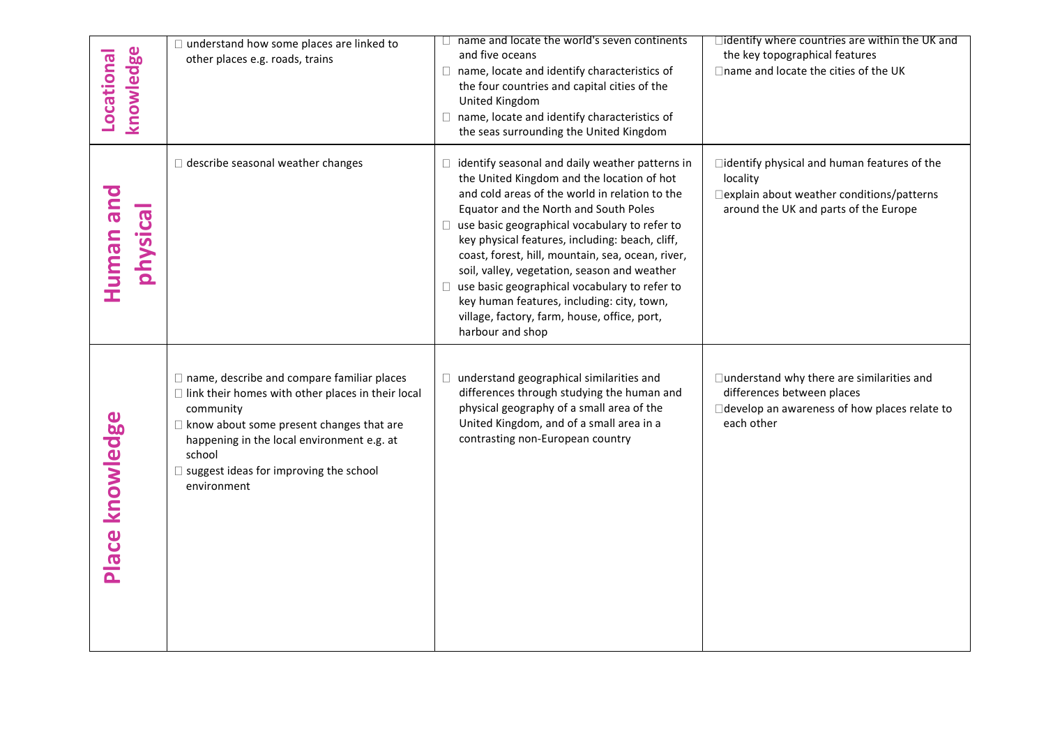| knowledge<br>Locational | $\Box$ understand how some places are linked to<br>other places e.g. roads, trains                                                                                                                                                                                                                    | name and locate the world's seven continents<br>and five oceans<br>$\Box$ name, locate and identify characteristics of<br>the four countries and capital cities of the<br>United Kingdom<br>$\Box$ name, locate and identify characteristics of<br>the seas surrounding the United Kingdom                                                                                                                                                                                                                                                                                           | $\Box$ identify where countries are within the UK and<br>the key topographical features<br>□ name and locate the cities of the UK                |
|-------------------------|-------------------------------------------------------------------------------------------------------------------------------------------------------------------------------------------------------------------------------------------------------------------------------------------------------|--------------------------------------------------------------------------------------------------------------------------------------------------------------------------------------------------------------------------------------------------------------------------------------------------------------------------------------------------------------------------------------------------------------------------------------------------------------------------------------------------------------------------------------------------------------------------------------|--------------------------------------------------------------------------------------------------------------------------------------------------|
| Human and<br>physical   | describe seasonal weather changes                                                                                                                                                                                                                                                                     | $\Box$ identify seasonal and daily weather patterns in<br>the United Kingdom and the location of hot<br>and cold areas of the world in relation to the<br>Equator and the North and South Poles<br>□ use basic geographical vocabulary to refer to<br>key physical features, including: beach, cliff,<br>coast, forest, hill, mountain, sea, ocean, river,<br>soil, valley, vegetation, season and weather<br>$\Box$ use basic geographical vocabulary to refer to<br>key human features, including: city, town,<br>village, factory, farm, house, office, port,<br>harbour and shop | □identify physical and human features of the<br>locality<br>□ explain about weather conditions/patterns<br>around the UK and parts of the Europe |
| Place knowledge         | $\Box$ name, describe and compare familiar places<br>$\Box$ link their homes with other places in their local<br>community<br>$\Box$ know about some present changes that are<br>happening in the local environment e.g. at<br>school<br>$\Box$ suggest ideas for improving the school<br>environment | understand geographical similarities and<br>$\Box$<br>differences through studying the human and<br>physical geography of a small area of the<br>United Kingdom, and of a small area in a<br>contrasting non-European country                                                                                                                                                                                                                                                                                                                                                        | □ understand why there are similarities and<br>differences between places<br>develop an awareness of how places relate to<br>each other          |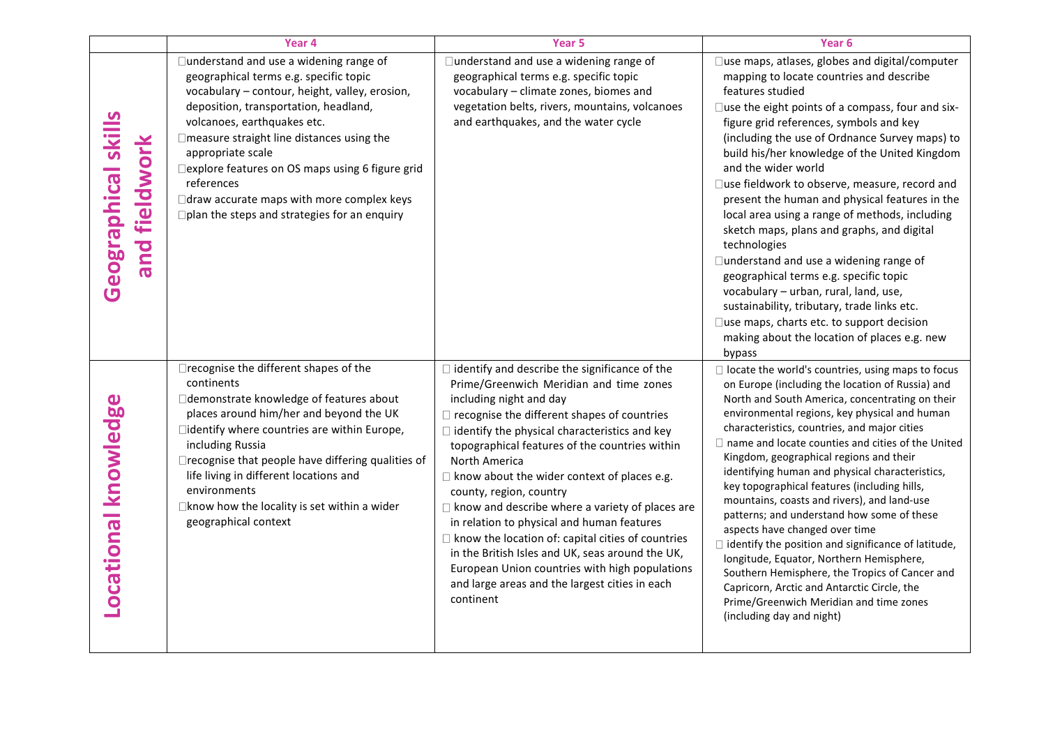|                                      | Year 4                                                                                                                                                                                                                                                                                                                                                                                                                                              | Year 5                                                                                                                                                                                                                                                                                                                                                                                                                                                                                                                                                                                                                                                                                                                                | Year <sub>6</sub>                                                                                                                                                                                                                                                                                                                                                                                                                                                                                                                                                                                                                                                                                                                                                                                                                                                                                      |
|--------------------------------------|-----------------------------------------------------------------------------------------------------------------------------------------------------------------------------------------------------------------------------------------------------------------------------------------------------------------------------------------------------------------------------------------------------------------------------------------------------|---------------------------------------------------------------------------------------------------------------------------------------------------------------------------------------------------------------------------------------------------------------------------------------------------------------------------------------------------------------------------------------------------------------------------------------------------------------------------------------------------------------------------------------------------------------------------------------------------------------------------------------------------------------------------------------------------------------------------------------|--------------------------------------------------------------------------------------------------------------------------------------------------------------------------------------------------------------------------------------------------------------------------------------------------------------------------------------------------------------------------------------------------------------------------------------------------------------------------------------------------------------------------------------------------------------------------------------------------------------------------------------------------------------------------------------------------------------------------------------------------------------------------------------------------------------------------------------------------------------------------------------------------------|
| Geographical skills<br>and fieldwork | □understand and use a widening range of<br>geographical terms e.g. specific topic<br>vocabulary - contour, height, valley, erosion,<br>deposition, transportation, headland,<br>volcanoes, earthquakes etc.<br>□ measure straight line distances using the<br>appropriate scale<br>□ explore features on OS maps using 6 figure grid<br>references<br>□ draw accurate maps with more complex keys<br>□ plan the steps and strategies for an enquiry | □ understand and use a widening range of<br>geographical terms e.g. specific topic<br>vocabulary - climate zones, biomes and<br>vegetation belts, rivers, mountains, volcanoes<br>and earthquakes, and the water cycle                                                                                                                                                                                                                                                                                                                                                                                                                                                                                                                | □use maps, atlases, globes and digital/computer<br>mapping to locate countries and describe<br>features studied<br>□use the eight points of a compass, four and six-<br>figure grid references, symbols and key<br>(including the use of Ordnance Survey maps) to<br>build his/her knowledge of the United Kingdom<br>and the wider world<br>□use fieldwork to observe, measure, record and<br>present the human and physical features in the<br>local area using a range of methods, including<br>sketch maps, plans and graphs, and digital<br>technologies<br>□understand and use a widening range of<br>geographical terms e.g. specific topic<br>vocabulary - urban, rural, land, use,<br>sustainability, tributary, trade links etc.<br>□use maps, charts etc. to support decision<br>making about the location of places e.g. new                                                               |
| Locational knowledge                 | □ recognise the different shapes of the<br>continents<br>□ demonstrate knowledge of features about<br>places around him/her and beyond the UK<br>□identify where countries are within Europe,<br>including Russia<br>□ recognise that people have differing qualities of<br>life living in different locations and<br>environments<br>$\Box$ know how the locality is set within a wider<br>geographical context                                    | $\Box$ identify and describe the significance of the<br>Prime/Greenwich Meridian and time zones<br>including night and day<br>$\Box$ recognise the different shapes of countries<br>$\Box$ identify the physical characteristics and key<br>topographical features of the countries within<br>North America<br>$\Box$ know about the wider context of places e.g.<br>county, region, country<br>$\Box$ know and describe where a variety of places are<br>in relation to physical and human features<br>$\Box$ know the location of: capital cities of countries<br>in the British Isles and UK, seas around the UK,<br>European Union countries with high populations<br>and large areas and the largest cities in each<br>continent | bypass<br>$\Box$ locate the world's countries, using maps to focus<br>on Europe (including the location of Russia) and<br>North and South America, concentrating on their<br>environmental regions, key physical and human<br>characteristics, countries, and major cities<br>$\Box$ name and locate counties and cities of the United<br>Kingdom, geographical regions and their<br>identifying human and physical characteristics,<br>key topographical features (including hills,<br>mountains, coasts and rivers), and land-use<br>patterns; and understand how some of these<br>aspects have changed over time<br>$\Box$ identify the position and significance of latitude,<br>longitude, Equator, Northern Hemisphere,<br>Southern Hemisphere, the Tropics of Cancer and<br>Capricorn, Arctic and Antarctic Circle, the<br>Prime/Greenwich Meridian and time zones<br>(including day and night) |